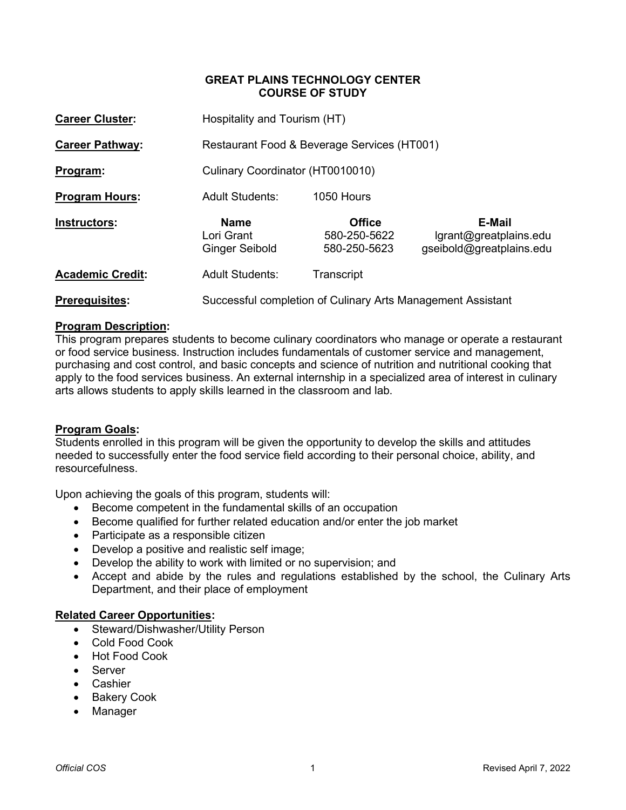# **GREAT PLAINS TECHNOLOGY CENTER COURSE OF STUDY**

| <b>Career Cluster:</b>  |                                                    | Hospitality and Tourism (HT)                                |                                                              |  |  |  |  |
|-------------------------|----------------------------------------------------|-------------------------------------------------------------|--------------------------------------------------------------|--|--|--|--|
| <b>Career Pathway:</b>  |                                                    | Restaurant Food & Beverage Services (HT001)                 |                                                              |  |  |  |  |
| Program:                | Culinary Coordinator (HT0010010)                   |                                                             |                                                              |  |  |  |  |
| <b>Program Hours:</b>   | <b>Adult Students:</b>                             | 1050 Hours                                                  |                                                              |  |  |  |  |
| Instructors:            | <b>Name</b><br>Lori Grant<br><b>Ginger Seibold</b> | <b>Office</b><br>580-250-5622<br>580-250-5623               | E-Mail<br>lgrant@greatplains.edu<br>gseibold@greatplains.edu |  |  |  |  |
| <b>Academic Credit:</b> | <b>Adult Students:</b>                             | Transcript                                                  |                                                              |  |  |  |  |
| <b>Prerequisites:</b>   |                                                    | Successful completion of Culinary Arts Management Assistant |                                                              |  |  |  |  |

# **Program Description:**

This program prepares students to become culinary coordinators who manage or operate a restaurant or food service business. Instruction includes fundamentals of customer service and management, purchasing and cost control, and basic concepts and science of nutrition and nutritional cooking that apply to the food services business. An external internship in a specialized area of interest in culinary arts allows students to apply skills learned in the classroom and lab.

## **Program Goals:**

Students enrolled in this program will be given the opportunity to develop the skills and attitudes needed to successfully enter the food service field according to their personal choice, ability, and resourcefulness.

Upon achieving the goals of this program, students will:

- Become competent in the fundamental skills of an occupation
- Become qualified for further related education and/or enter the job market
- Participate as a responsible citizen
- Develop a positive and realistic self image;
- Develop the ability to work with limited or no supervision; and
- Accept and abide by the rules and regulations established by the school, the Culinary Arts Department, and their place of employment

## **Related Career Opportunities:**

- Steward/Dishwasher/Utility Person
- Cold Food Cook
- Hot Food Cook
- **Server**
- Cashier
- Bakery Cook
- Manager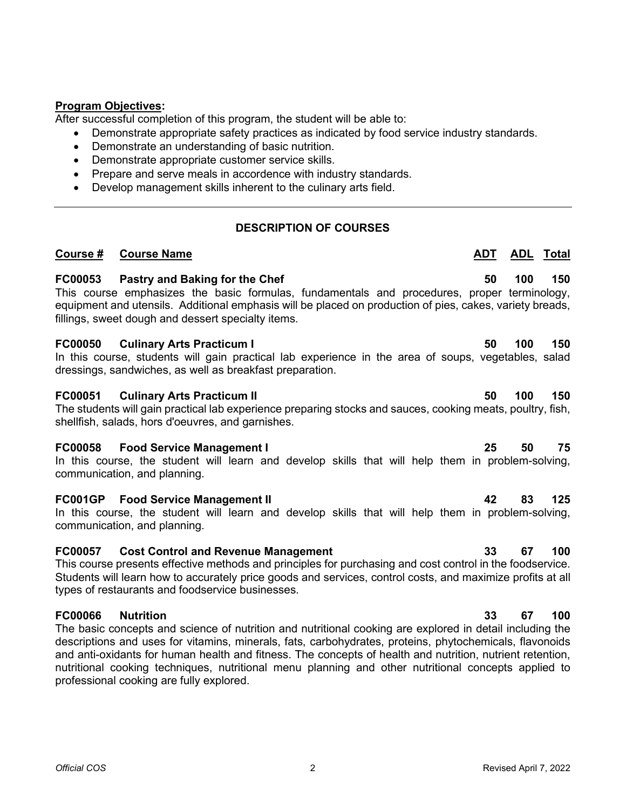# **Program Objectives:**

After successful completion of this program, the student will be able to:

- Demonstrate appropriate safety practices as indicated by food service industry standards.
- Demonstrate an understanding of basic nutrition.
- Demonstrate appropriate customer service skills.
- Prepare and serve meals in accordence with industry standards.
- Develop management skills inherent to the culinary arts field.

# **DESCRIPTION OF COURSES**

**Course # Course Name ADT ADL ADL ADL ADL Total** 

# **FC00053 Pastry and Baking for the Chef 50 100 150**

This course emphasizes the basic formulas, fundamentals and procedures, proper terminology, equipment and utensils. Additional emphasis will be placed on production of pies, cakes, variety breads, fillings, sweet dough and dessert specialty items.

## **FC00050 Culinary Arts Practicum I 50 100 150**

In this course, students will gain practical lab experience in the area of soups, vegetables, salad dressings, sandwiches, as well as breakfast preparation.

# **FC00051 Culinary Arts Practicum II 50 100 150**

The students will gain practical lab experience preparing stocks and sauces, cooking meats, poultry, fish, shellfish, salads, hors d'oeuvres, and garnishes.

## **FC00058 Food Service Management I 25 50 75**

In this course, the student will learn and develop skills that will help them in problem-solving, communication, and planning.

## **FC001GP Food Service Management II 42 83 125**

In this course, the student will learn and develop skills that will help them in problem-solving, communication, and planning.

# **FC00057 Cost Control and Revenue Management 33 67 100**

This course presents effective methods and principles for purchasing and cost control in the foodservice. Students will learn how to accurately price goods and services, control costs, and maximize profits at all types of restaurants and foodservice businesses.

# **FC00066 Nutrition 33 67 100**

The basic concepts and science of nutrition and nutritional cooking are explored in detail including the descriptions and uses for vitamins, minerals, fats, carbohydrates, proteins, phytochemicals, flavonoids and anti-oxidants for human health and fitness. The concepts of health and nutrition, nutrient retention, nutritional cooking techniques, nutritional menu planning and other nutritional concepts applied to professional cooking are fully explored.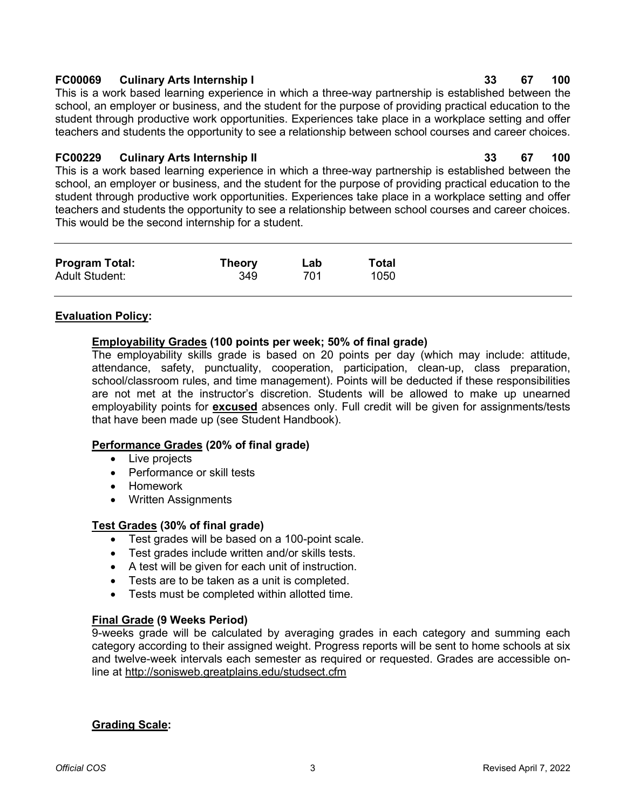## **Grading Scale:**

# **FC00069 Culinary Arts Internship I 33 67 100**

This is a work based learning experience in which a three-way partnership is established between the school, an employer or business, and the student for the purpose of providing practical education to the student through productive work opportunities. Experiences take place in a workplace setting and offer teachers and students the opportunity to see a relationship between school courses and career choices.

# **FC00229 Culinary Arts Internship II 33 67 100**

This is a work based learning experience in which a three-way partnership is established between the school, an employer or business, and the student for the purpose of providing practical education to the student through productive work opportunities. Experiences take place in a workplace setting and offer teachers and students the opportunity to see a relationship between school courses and career choices. This would be the second internship for a student.

| <b>Program Total:</b> | <b>Theory</b> | Lab | Total |
|-----------------------|---------------|-----|-------|
| <b>Adult Student:</b> | 349           | 701 | 1050  |
|                       |               |     |       |

# **Evaluation Policy:**

# **Employability Grades (100 points per week; 50% of final grade)**

The employability skills grade is based on 20 points per day (which may include: attitude, attendance, safety, punctuality, cooperation, participation, clean-up, class preparation, school/classroom rules, and time management). Points will be deducted if these responsibilities are not met at the instructor's discretion. Students will be allowed to make up unearned employability points for **excused** absences only. Full credit will be given for assignments/tests that have been made up (see Student Handbook).

# **Performance Grades (20% of final grade)**

- Live projects
- Performance or skill tests
- Homework
- Written Assignments

# **Test Grades (30% of final grade)**

- Test grades will be based on a 100-point scale.
- Test grades include written and/or skills tests.
- A test will be given for each unit of instruction.
- Tests are to be taken as a unit is completed.
- Tests must be completed within allotted time.

# **Final Grade (9 Weeks Period)**

9-weeks grade will be calculated by averaging grades in each category and summing each category according to their assigned weight. Progress reports will be sent to home schools at six and twelve-week intervals each semester as required or requested. Grades are accessible online at<http://sonisweb.greatplains.edu/studsect.cfm>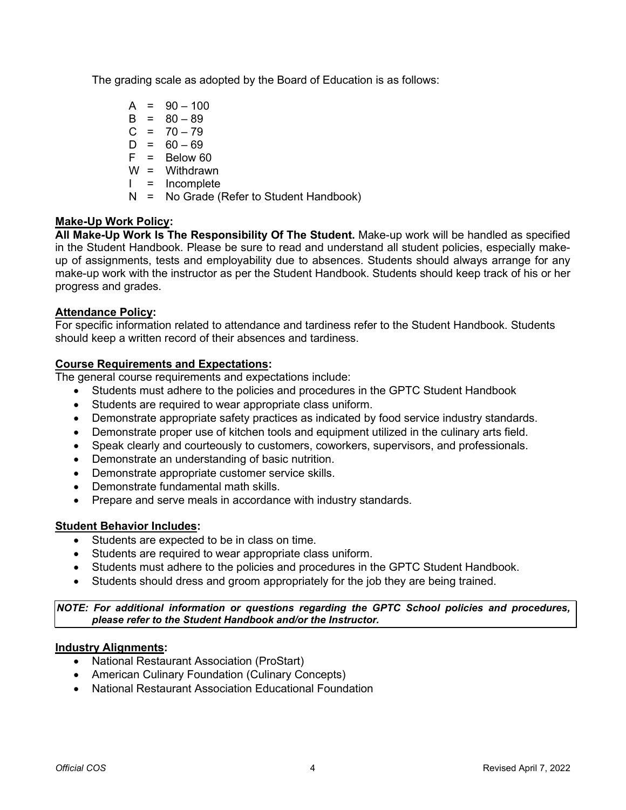The grading scale as adopted by the Board of Education is as follows:

 $A = 90 - 100$  $B = 80 - 89$  $C = 70 - 79$  $D = 60 - 69$  $F = Below 60$ W = Withdrawn I = Incomplete N = No Grade (Refer to Student Handbook)

# **Make-Up Work Policy:**

**All Make-Up Work Is The Responsibility Of The Student.** Make-up work will be handled as specified in the Student Handbook. Please be sure to read and understand all student policies, especially makeup of assignments, tests and employability due to absences. Students should always arrange for any make-up work with the instructor as per the Student Handbook. Students should keep track of his or her progress and grades.

# **Attendance Policy:**

For specific information related to attendance and tardiness refer to the Student Handbook. Students should keep a written record of their absences and tardiness.

## **Course Requirements and Expectations:**

The general course requirements and expectations include:

- Students must adhere to the policies and procedures in the GPTC Student Handbook
- Students are required to wear appropriate class uniform.
- Demonstrate appropriate safety practices as indicated by food service industry standards.
- Demonstrate proper use of kitchen tools and equipment utilized in the culinary arts field.
- Speak clearly and courteously to customers, coworkers, supervisors, and professionals.
- Demonstrate an understanding of basic nutrition.
- Demonstrate appropriate customer service skills.
- Demonstrate fundamental math skills.
- Prepare and serve meals in accordance with industry standards.

## **Student Behavior Includes:**

- Students are expected to be in class on time.
- Students are required to wear appropriate class uniform.
- Students must adhere to the policies and procedures in the GPTC Student Handbook.
- Students should dress and groom appropriately for the job they are being trained.

*NOTE: For additional information or questions regarding the GPTC School policies and procedures, please refer to the Student Handbook and/or the Instructor.*

## **Industry Alignments:**

- National Restaurant Association (ProStart)
- American Culinary Foundation (Culinary Concepts)
- National Restaurant Association Educational Foundation